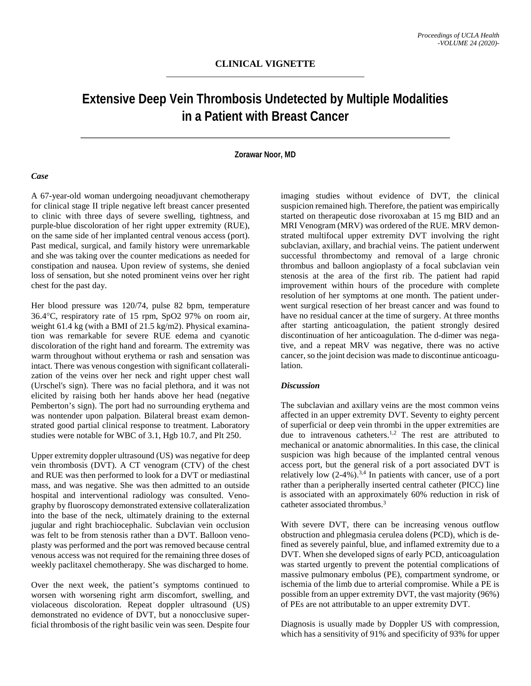# **Extensive Deep Vein Thrombosis Undetected by Multiple Modalities in a Patient with Breast Cancer**

### **Zorawar Noor, MD**

#### *Case*

A 67-year-old woman undergoing neoadjuvant chemotherapy for clinical stage II triple negative left breast cancer presented to clinic with three days of severe swelling, tightness, and purple-blue discoloration of her right upper extremity (RUE), on the same side of her implanted central venous access (port). Past medical, surgical, and family history were unremarkable and she was taking over the counter medications as needed for constipation and nausea. Upon review of systems, she denied loss of sensation, but she noted prominent veins over her right chest for the past day.

Her blood pressure was 120/74, pulse 82 bpm, temperature 36.4°C, respiratory rate of 15 rpm, SpO2 97% on room air, weight 61.4 kg (with a BMI of 21.5 kg/m2). Physical examination was remarkable for severe RUE edema and cyanotic discoloration of the right hand and forearm. The extremity was warm throughout without erythema or rash and sensation was intact. There was venous congestion with significant collateralization of the veins over her neck and right upper chest wall (Urschel's sign). There was no facial plethora, and it was not elicited by raising both her hands above her head (negative Pemberton's sign). The port had no surrounding erythema and was nontender upon palpation. Bilateral breast exam demonstrated good partial clinical response to treatment. Laboratory studies were notable for WBC of 3.1, Hgb 10.7, and Plt 250.

Upper extremity doppler ultrasound (US) was negative for deep vein thrombosis (DVT). A CT venogram (CTV) of the chest and RUE was then performed to look for a DVT or mediastinal mass, and was negative. She was then admitted to an outside hospital and interventional radiology was consulted. Venography by fluoroscopy demonstrated extensive collateralization into the base of the neck, ultimately draining to the external jugular and right brachiocephalic. Subclavian vein occlusion was felt to be from stenosis rather than a DVT. Balloon venoplasty was performed and the port was removed because central venous access was not required for the remaining three doses of weekly paclitaxel chemotherapy. She was discharged to home.

Over the next week, the patient's symptoms continued to worsen with worsening right arm discomfort, swelling, and violaceous discoloration. Repeat doppler ultrasound (US) demonstrated no evidence of DVT, but a nonocclusive superficial thrombosis of the right basilic vein was seen. Despite four imaging studies without evidence of DVT, the clinical suspicion remained high. Therefore, the patient was empirically started on therapeutic dose rivoroxaban at 15 mg BID and an MRI Venogram (MRV) was ordered of the RUE. MRV demonstrated multifocal upper extremity DVT involving the right subclavian, axillary, and brachial veins. The patient underwent successful thrombectomy and removal of a large chronic thrombus and balloon angioplasty of a focal subclavian vein stenosis at the area of the first rib. The patient had rapid improvement within hours of the procedure with complete resolution of her symptoms at one month. The patient underwent surgical resection of her breast cancer and was found to have no residual cancer at the time of surgery. At three months after starting anticoagulation, the patient strongly desired discontinuation of her anticoagulation. The d-dimer was negative, and a repeat MRV was negative, there was no active cancer, so the joint decision was made to discontinue anticoagulation.

#### *Discussion*

The subclavian and axillary veins are the most common veins affected in an upper extremity DVT. Seventy to eighty percent of superficial or deep vein thrombi in the upper extremities are due to intravenous catheters.<sup>1,2</sup> The rest are attributed to mechanical or anatomic abnormalities. In this case, the clinical suspicion was high because of the implanted central venous access port, but the general risk of a port associated DVT is relatively low  $(2-4\%)$ .<sup>3,4</sup> In patients with cancer, use of a port rather than a peripherally inserted central catheter (PICC) line is associated with an approximately 60% reduction in risk of catheter associated thrombus.<sup>3</sup>

With severe DVT, there can be increasing venous outflow obstruction and phlegmasia cerulea dolens (PCD), which is defined as severely painful, blue, and inflamed extremity due to a DVT. When she developed signs of early PCD, anticoagulation was started urgently to prevent the potential complications of massive pulmonary embolus (PE), compartment syndrome, or ischemia of the limb due to arterial compromise. While a PE is possible from an upper extremity DVT, the vast majority (96%) of PEs are not attributable to an upper extremity DVT.

Diagnosis is usually made by Doppler US with compression, which has a sensitivity of 91% and specificity of 93% for upper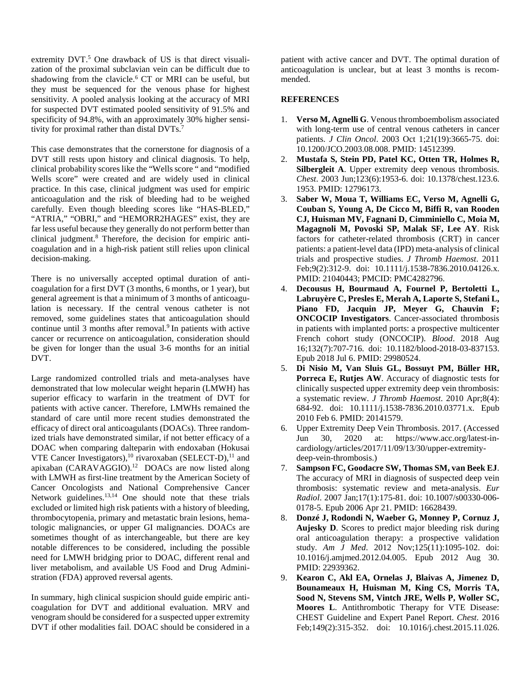extremity DVT.<sup>5</sup> One drawback of US is that direct visualization of the proximal subclavian vein can be difficult due to shadowing from the clavicle.<sup>6</sup> CT or MRI can be useful, but they must be sequenced for the venous phase for highest sensitivity. A pooled analysis looking at the accuracy of MRI for suspected DVT estimated pooled sensitivity of 91.5% and specificity of 94.8%, with an approximately 30% higher sensitivity for proximal rather than distal DVTs.<sup>7</sup>

This case demonstrates that the cornerstone for diagnosis of a DVT still rests upon history and clinical diagnosis. To help, clinical probability scores like the "Wells score " and "modified Wells score" were created and are widely used in clinical practice. In this case, clinical judgment was used for empiric anticoagulation and the risk of bleeding had to be weighed carefully. Even though bleeding scores like "HAS-BLED," "ATRIA," "OBRI," and "HEMORR2HAGES" exist, they are far less useful because they generally do not perform better than clinical judgment.8 Therefore, the decision for empiric anticoagulation and in a high-risk patient still relies upon clinical decision-making.

There is no universally accepted optimal duration of anticoagulation for a first DVT (3 months, 6 months, or 1 year), but general agreement is that a minimum of 3 months of anticoagulation is necessary. If the central venous catheter is not removed, some guidelines states that anticoagulation should continue until 3 months after removal.<sup>9</sup> In patients with active cancer or recurrence on anticoagulation, consideration should be given for longer than the usual 3-6 months for an initial DVT.

Large randomized controlled trials and meta-analyses have demonstrated that low molecular weight heparin (LMWH) has superior efficacy to warfarin in the treatment of DVT for patients with active cancer. Therefore, LMWHs remained the standard of care until more recent studies demonstrated the efficacy of direct oral anticoagulants (DOACs). Three randomized trials have demonstrated similar, if not better efficacy of a DOAC when comparing dalteparin with endoxaban (Hokusai VTE Cancer Investigators),<sup>10</sup> rivaroxaban (SELECT-D),<sup>11</sup> and apixaban (CARAVAGGIO).12 DOACs are now listed along with LMWH as first-line treatment by the American Society of Cancer Oncologists and National Comprehensive Cancer Network guidelines.13,14 One should note that these trials excluded or limited high risk patients with a history of bleeding, thrombocytopenia, primary and metastatic brain lesions, hematologic malignancies, or upper GI malignancies. DOACs are sometimes thought of as interchangeable, but there are key notable differences to be considered, including the possible need for LMWH bridging prior to DOAC, different renal and liver metabolism, and available US Food and Drug Administration (FDA) approved reversal agents.

In summary, high clinical suspicion should guide empiric anticoagulation for DVT and additional evaluation. MRV and venogram should be considered for a suspected upper extremity DVT if other modalities fail. DOAC should be considered in a

patient with active cancer and DVT. The optimal duration of anticoagulation is unclear, but at least 3 months is recommended.

## **REFERENCES**

- 1. **Verso M, Agnelli G**. Venous thromboembolism associated with long-term use of central venous catheters in cancer patients. *J Clin Oncol*. 2003 Oct 1;21(19):3665-75. doi: 10.1200/JCO.2003.08.008. PMID: 14512399.
- 2. **Mustafa S, Stein PD, Patel KC, Otten TR, Holmes R, Silbergleit A**. Upper extremity deep venous thrombosis. *Chest*. 2003 Jun;123(6):1953-6. doi: 10.1378/chest.123.6. 1953. PMID: 12796173.
- 3. **Saber W, Moua T, Williams EC, Verso M, Agnelli G, Couban S, Young A, De Cicco M, Biffi R, van Rooden CJ, Huisman MV, Fagnani D, Cimminiello C, Moia M, Magagnoli M, Povoski SP, Malak SF, Lee AY**. Risk factors for catheter-related thrombosis (CRT) in cancer patients: a patient-level data (IPD) meta-analysis of clinical trials and prospective studies. *J Thromb Haemost*. 2011 Feb;9(2):312-9. doi: 10.1111/j.1538-7836.2010.04126.x. PMID: 21040443; PMCID: PMC4282796.
- 4. **Decousus H, Bourmaud A, Fournel P, Bertoletti L, Labruyère C, Presles E, Merah A, Laporte S, Stefani L, Piano FD, Jacquin JP, Meyer G, Chauvin F; ONCOCIP Investigators**. Cancer-associated thrombosis in patients with implanted ports: a prospective multicenter French cohort study (ONCOCIP). *Blood*. 2018 Aug 16;132(7):707-716. doi: 10.1182/blood-2018-03-837153. Epub 2018 Jul 6. PMID: 29980524.
- 5. **Di Nisio M, Van Sluis GL, Bossuyt PM, Büller HR, Porreca E, Rutjes AW**. Accuracy of diagnostic tests for clinically suspected upper extremity deep vein thrombosis: a systematic review. *J Thromb Haemost*. 2010 Apr;8(4): 684-92. doi: 10.1111/j.1538-7836.2010.03771.x. Epub 2010 Feb 6. PMID: 20141579.
- 6. Upper Extremity Deep Vein Thrombosis. 2017. (Accessed Jun 30, 2020 at: https://www.acc.org/latest-incardiology/articles/2017/11/09/13/30/upper-extremitydeep-vein-thrombosis.)
- 7. **Sampson FC, Goodacre SW, Thomas SM, van Beek EJ**. The accuracy of MRI in diagnosis of suspected deep vein thrombosis: systematic review and meta-analysis. *Eur Radiol*. 2007 Jan;17(1):175-81. doi: 10.1007/s00330-006- 0178-5. Epub 2006 Apr 21. PMID: 16628439.
- 8. **Donzé J, Rodondi N, Waeber G, Monney P, Cornuz J, Aujesky D**. Scores to predict major bleeding risk during oral anticoagulation therapy: a prospective validation study. *Am J Med*. 2012 Nov;125(11):1095-102. doi: 10.1016/j.amjmed.2012.04.005. Epub 2012 Aug 30. PMID: 22939362.
- 9. **Kearon C, Akl EA, Ornelas J, Blaivas A, Jimenez D, Bounameaux H, Huisman M, King CS, Morris TA, Sood N, Stevens SM, Vintch JRE, Wells P, Woller SC, Moores L**. Antithrombotic Therapy for VTE Disease: CHEST Guideline and Expert Panel Report. *Chest*. 2016 Feb;149(2):315-352. doi: 10.1016/j.chest.2015.11.026.